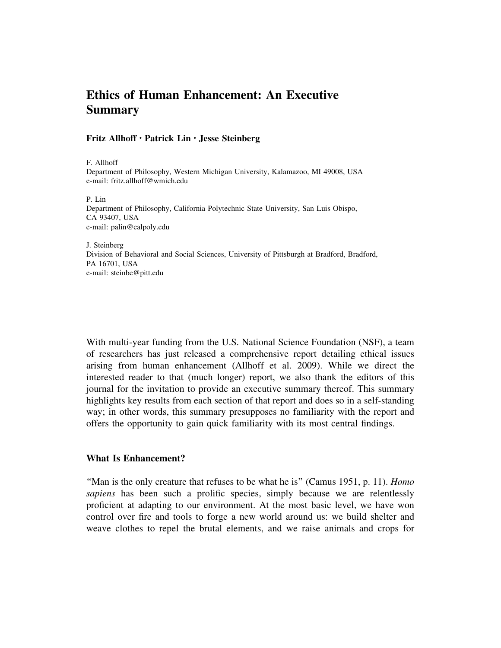# Ethics of Human Enhancement: An Executive **Summary**

#### Fritz Allhoff • Patrick Lin • Jesse Steinberg

F. Allhoff

Department of Philosophy, Western Michigan University, Kalamazoo, MI 49008, USA e-mail: fritz.allhoff@wmich.edu

P. Lin

Department of Philosophy, California Polytechnic State University, San Luis Obispo, CA 93407, USA e-mail: palin@calpoly.edu

J. Steinberg Division of Behavioral and Social Sciences, University of Pittsburgh at Bradford, Bradford, PA 16701, USA e-mail: steinbe@pitt.edu

With multi-year funding from the U.S. National Science Foundation (NSF), a team of researchers has just released a comprehensive report detailing ethical issues arising from human enhancement (Allhoff et al. 2009). While we direct the interested reader to that (much longer) report, we also thank the editors of this journal for the invitation to provide an executive summary thereof. This summary highlights key results from each section of that report and does so in a self-standing way; in other words, this summary presupposes no familiarity with the report and offers the opportunity to gain quick familiarity with its most central findings.

# What Is Enhancement?

"Man is the only creature that refuses to be what he is" (Camus 1951, p. 11). Homo sapiens has been such a prolific species, simply because we are relentlessly proficient at adapting to our environment. At the most basic level, we have won control over fire and tools to forge a new world around us: we build shelter and weave clothes to repel the brutal elements, and we raise animals and crops for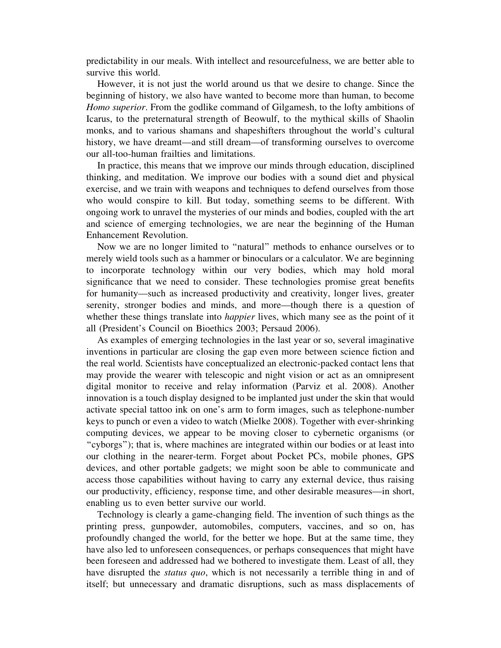predictability in our meals. With intellect and resourcefulness, we are better able to survive this world.

However, it is not just the world around us that we desire to change. Since the beginning of history, we also have wanted to become more than human, to become Homo superior. From the godlike command of Gilgamesh, to the lofty ambitions of Icarus, to the preternatural strength of Beowulf, to the mythical skills of Shaolin monks, and to various shamans and shapeshifters throughout the world's cultural history, we have dreamt—and still dream—of transforming ourselves to overcome our all-too-human frailties and limitations.

In practice, this means that we improve our minds through education, disciplined thinking, and meditation. We improve our bodies with a sound diet and physical exercise, and we train with weapons and techniques to defend ourselves from those who would conspire to kill. But today, something seems to be different. With ongoing work to unravel the mysteries of our minds and bodies, coupled with the art and science of emerging technologies, we are near the beginning of the Human Enhancement Revolution.

Now we are no longer limited to ''natural'' methods to enhance ourselves or to merely wield tools such as a hammer or binoculars or a calculator. We are beginning to incorporate technology within our very bodies, which may hold moral significance that we need to consider. These technologies promise great benefits for humanity—such as increased productivity and creativity, longer lives, greater serenity, stronger bodies and minds, and more—though there is a question of whether these things translate into *happier* lives, which many see as the point of it all (President's Council on Bioethics 2003; Persaud 2006).

As examples of emerging technologies in the last year or so, several imaginative inventions in particular are closing the gap even more between science fiction and the real world. Scientists have conceptualized an electronic-packed contact lens that may provide the wearer with telescopic and night vision or act as an omnipresent digital monitor to receive and relay information (Parviz et al. 2008). Another innovation is a touch display designed to be implanted just under the skin that would activate special tattoo ink on one's arm to form images, such as telephone-number keys to punch or even a video to watch (Mielke 2008). Together with ever-shrinking computing devices, we appear to be moving closer to cybernetic organisms (or "cyborgs"); that is, where machines are integrated within our bodies or at least into our clothing in the nearer-term. Forget about Pocket PCs, mobile phones, GPS devices, and other portable gadgets; we might soon be able to communicate and access those capabilities without having to carry any external device, thus raising our productivity, efficiency, response time, and other desirable measures—in short, enabling us to even better survive our world.

Technology is clearly a game-changing field. The invention of such things as the printing press, gunpowder, automobiles, computers, vaccines, and so on, has profoundly changed the world, for the better we hope. But at the same time, they have also led to unforeseen consequences, or perhaps consequences that might have been foreseen and addressed had we bothered to investigate them. Least of all, they have disrupted the *status quo*, which is not necessarily a terrible thing in and of itself; but unnecessary and dramatic disruptions, such as mass displacements of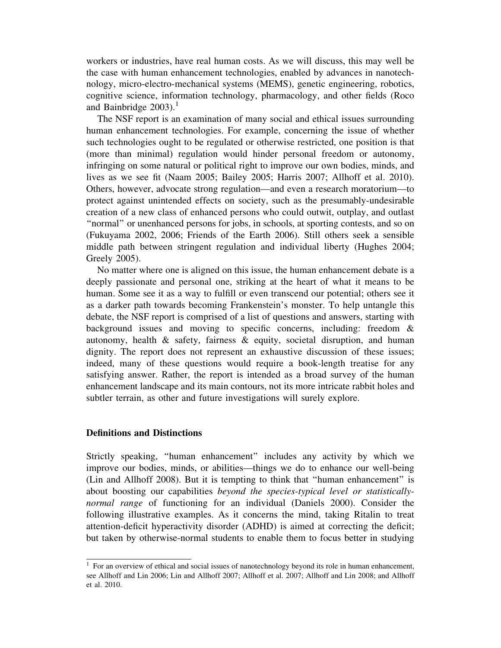workers or industries, have real human costs. As we will discuss, this may well be the case with human enhancement technologies, enabled by advances in nanotechnology, micro-electro-mechanical systems (MEMS), genetic engineering, robotics, cognitive science, information technology, pharmacology, and other fields (Roco and Bainbridge  $2003$ .<sup>1</sup>

The NSF report is an examination of many social and ethical issues surrounding human enhancement technologies. For example, concerning the issue of whether such technologies ought to be regulated or otherwise restricted, one position is that (more than minimal) regulation would hinder personal freedom or autonomy, infringing on some natural or political right to improve our own bodies, minds, and lives as we see fit (Naam 2005; Bailey 2005; Harris 2007; Allhoff et al. 2010). Others, however, advocate strong regulation—and even a research moratorium—to protect against unintended effects on society, such as the presumably-undesirable creation of a new class of enhanced persons who could outwit, outplay, and outlast ''normal'' or unenhanced persons for jobs, in schools, at sporting contests, and so on (Fukuyama 2002, 2006; Friends of the Earth 2006). Still others seek a sensible middle path between stringent regulation and individual liberty (Hughes 2004; Greely 2005).

No matter where one is aligned on this issue, the human enhancement debate is a deeply passionate and personal one, striking at the heart of what it means to be human. Some see it as a way to fulfill or even transcend our potential; others see it as a darker path towards becoming Frankenstein's monster. To help untangle this debate, the NSF report is comprised of a list of questions and answers, starting with background issues and moving to specific concerns, including: freedom & autonomy, health  $\&$  safety, fairness  $\&$  equity, societal disruption, and human dignity. The report does not represent an exhaustive discussion of these issues; indeed, many of these questions would require a book-length treatise for any satisfying answer. Rather, the report is intended as a broad survey of the human enhancement landscape and its main contours, not its more intricate rabbit holes and subtler terrain, as other and future investigations will surely explore.

## Definitions and Distinctions

Strictly speaking, ''human enhancement'' includes any activity by which we improve our bodies, minds, or abilities—things we do to enhance our well-being (Lin and Allhoff 2008). But it is tempting to think that ''human enhancement'' is about boosting our capabilities beyond the species-typical level or statisticallynormal range of functioning for an individual (Daniels 2000). Consider the following illustrative examples. As it concerns the mind, taking Ritalin to treat attention-deficit hyperactivity disorder (ADHD) is aimed at correcting the deficit; but taken by otherwise-normal students to enable them to focus better in studying

 $1$  For an overview of ethical and social issues of nanotechnology beyond its role in human enhancement, see Allhoff and Lin 2006; Lin and Allhoff 2007; Allhoff et al. 2007; Allhoff and Lin 2008; and Allhoff et al. 2010.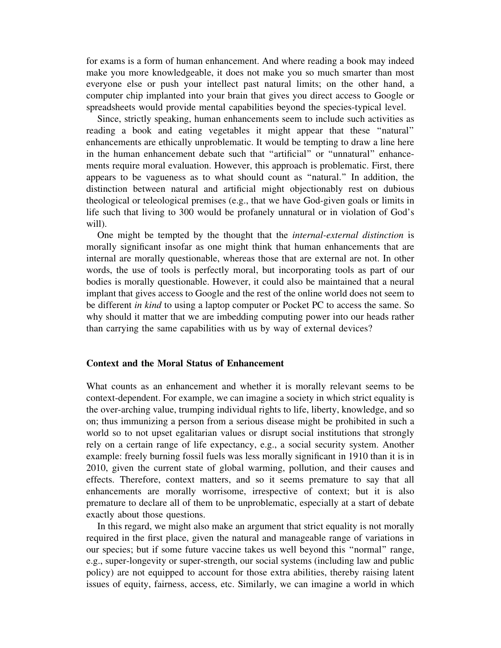for exams is a form of human enhancement. And where reading a book may indeed make you more knowledgeable, it does not make you so much smarter than most everyone else or push your intellect past natural limits; on the other hand, a computer chip implanted into your brain that gives you direct access to Google or spreadsheets would provide mental capabilities beyond the species-typical level.

Since, strictly speaking, human enhancements seem to include such activities as reading a book and eating vegetables it might appear that these ''natural'' enhancements are ethically unproblematic. It would be tempting to draw a line here in the human enhancement debate such that ''artificial'' or ''unnatural'' enhancements require moral evaluation. However, this approach is problematic. First, there appears to be vagueness as to what should count as ''natural.'' In addition, the distinction between natural and artificial might objectionably rest on dubious theological or teleological premises (e.g., that we have God-given goals or limits in life such that living to 300 would be profanely unnatural or in violation of God's will).

One might be tempted by the thought that the internal-external distinction is morally significant insofar as one might think that human enhancements that are internal are morally questionable, whereas those that are external are not. In other words, the use of tools is perfectly moral, but incorporating tools as part of our bodies is morally questionable. However, it could also be maintained that a neural implant that gives access to Google and the rest of the online world does not seem to be different in kind to using a laptop computer or Pocket PC to access the same. So why should it matter that we are imbedding computing power into our heads rather than carrying the same capabilities with us by way of external devices?

#### Context and the Moral Status of Enhancement

What counts as an enhancement and whether it is morally relevant seems to be context-dependent. For example, we can imagine a society in which strict equality is the over-arching value, trumping individual rights to life, liberty, knowledge, and so on; thus immunizing a person from a serious disease might be prohibited in such a world so to not upset egalitarian values or disrupt social institutions that strongly rely on a certain range of life expectancy, e.g., a social security system. Another example: freely burning fossil fuels was less morally significant in 1910 than it is in 2010, given the current state of global warming, pollution, and their causes and effects. Therefore, context matters, and so it seems premature to say that all enhancements are morally worrisome, irrespective of context; but it is also premature to declare all of them to be unproblematic, especially at a start of debate exactly about those questions.

In this regard, we might also make an argument that strict equality is not morally required in the first place, given the natural and manageable range of variations in our species; but if some future vaccine takes us well beyond this ''normal'' range, e.g., super-longevity or super-strength, our social systems (including law and public policy) are not equipped to account for those extra abilities, thereby raising latent issues of equity, fairness, access, etc. Similarly, we can imagine a world in which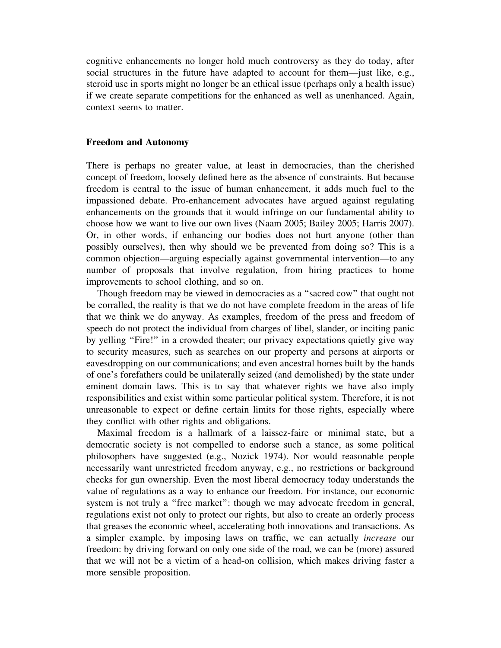cognitive enhancements no longer hold much controversy as they do today, after social structures in the future have adapted to account for them—just like, e.g., steroid use in sports might no longer be an ethical issue (perhaps only a health issue) if we create separate competitions for the enhanced as well as unenhanced. Again, context seems to matter.

## Freedom and Autonomy

There is perhaps no greater value, at least in democracies, than the cherished concept of freedom, loosely defined here as the absence of constraints. But because freedom is central to the issue of human enhancement, it adds much fuel to the impassioned debate. Pro-enhancement advocates have argued against regulating enhancements on the grounds that it would infringe on our fundamental ability to choose how we want to live our own lives (Naam 2005; Bailey 2005; Harris 2007). Or, in other words, if enhancing our bodies does not hurt anyone (other than possibly ourselves), then why should we be prevented from doing so? This is a common objection—arguing especially against governmental intervention—to any number of proposals that involve regulation, from hiring practices to home improvements to school clothing, and so on.

Though freedom may be viewed in democracies as a ''sacred cow'' that ought not be corralled, the reality is that we do not have complete freedom in the areas of life that we think we do anyway. As examples, freedom of the press and freedom of speech do not protect the individual from charges of libel, slander, or inciting panic by yelling "Fire!" in a crowded theater; our privacy expectations quietly give way to security measures, such as searches on our property and persons at airports or eavesdropping on our communications; and even ancestral homes built by the hands of one's forefathers could be unilaterally seized (and demolished) by the state under eminent domain laws. This is to say that whatever rights we have also imply responsibilities and exist within some particular political system. Therefore, it is not unreasonable to expect or define certain limits for those rights, especially where they conflict with other rights and obligations.

Maximal freedom is a hallmark of a laissez-faire or minimal state, but a democratic society is not compelled to endorse such a stance, as some political philosophers have suggested (e.g., Nozick 1974). Nor would reasonable people necessarily want unrestricted freedom anyway, e.g., no restrictions or background checks for gun ownership. Even the most liberal democracy today understands the value of regulations as a way to enhance our freedom. For instance, our economic system is not truly a ''free market'': though we may advocate freedom in general, regulations exist not only to protect our rights, but also to create an orderly process that greases the economic wheel, accelerating both innovations and transactions. As a simpler example, by imposing laws on traffic, we can actually increase our freedom: by driving forward on only one side of the road, we can be (more) assured that we will not be a victim of a head-on collision, which makes driving faster a more sensible proposition.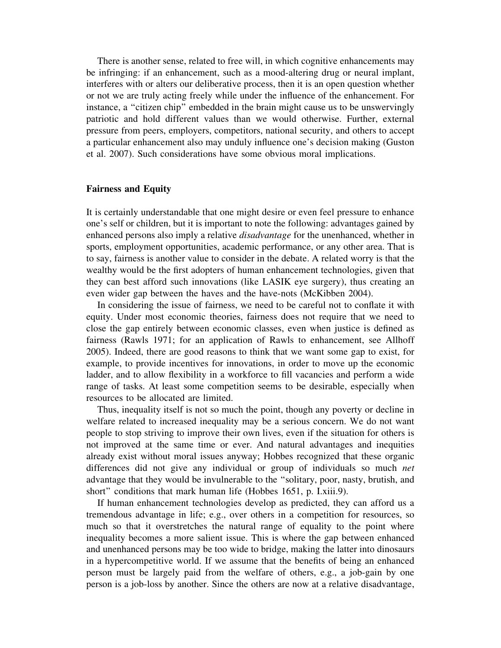There is another sense, related to free will, in which cognitive enhancements may be infringing: if an enhancement, such as a mood-altering drug or neural implant, interferes with or alters our deliberative process, then it is an open question whether or not we are truly acting freely while under the influence of the enhancement. For instance, a ''citizen chip'' embedded in the brain might cause us to be unswervingly patriotic and hold different values than we would otherwise. Further, external pressure from peers, employers, competitors, national security, and others to accept a particular enhancement also may unduly influence one's decision making (Guston et al. 2007). Such considerations have some obvious moral implications.

# Fairness and Equity

It is certainly understandable that one might desire or even feel pressure to enhance one's self or children, but it is important to note the following: advantages gained by enhanced persons also imply a relative disadvantage for the unenhanced, whether in sports, employment opportunities, academic performance, or any other area. That is to say, fairness is another value to consider in the debate. A related worry is that the wealthy would be the first adopters of human enhancement technologies, given that they can best afford such innovations (like LASIK eye surgery), thus creating an even wider gap between the haves and the have-nots (McKibben 2004).

In considering the issue of fairness, we need to be careful not to conflate it with equity. Under most economic theories, fairness does not require that we need to close the gap entirely between economic classes, even when justice is defined as fairness (Rawls 1971; for an application of Rawls to enhancement, see Allhoff 2005). Indeed, there are good reasons to think that we want some gap to exist, for example, to provide incentives for innovations, in order to move up the economic ladder, and to allow flexibility in a workforce to fill vacancies and perform a wide range of tasks. At least some competition seems to be desirable, especially when resources to be allocated are limited.

Thus, inequality itself is not so much the point, though any poverty or decline in welfare related to increased inequality may be a serious concern. We do not want people to stop striving to improve their own lives, even if the situation for others is not improved at the same time or ever. And natural advantages and inequities already exist without moral issues anyway; Hobbes recognized that these organic differences did not give any individual or group of individuals so much net advantage that they would be invulnerable to the ''solitary, poor, nasty, brutish, and short" conditions that mark human life (Hobbes 1651, p. I.xiii.9).

If human enhancement technologies develop as predicted, they can afford us a tremendous advantage in life; e.g., over others in a competition for resources, so much so that it overstretches the natural range of equality to the point where inequality becomes a more salient issue. This is where the gap between enhanced and unenhanced persons may be too wide to bridge, making the latter into dinosaurs in a hypercompetitive world. If we assume that the benefits of being an enhanced person must be largely paid from the welfare of others, e.g., a job-gain by one person is a job-loss by another. Since the others are now at a relative disadvantage,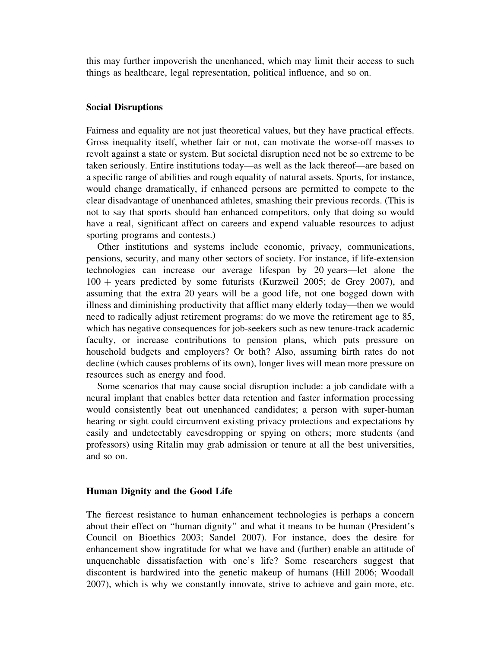this may further impoverish the unenhanced, which may limit their access to such things as healthcare, legal representation, political influence, and so on.

# Social Disruptions

Fairness and equality are not just theoretical values, but they have practical effects. Gross inequality itself, whether fair or not, can motivate the worse-off masses to revolt against a state or system. But societal disruption need not be so extreme to be taken seriously. Entire institutions today—as well as the lack thereof—are based on a specific range of abilities and rough equality of natural assets. Sports, for instance, would change dramatically, if enhanced persons are permitted to compete to the clear disadvantage of unenhanced athletes, smashing their previous records. (This is not to say that sports should ban enhanced competitors, only that doing so would have a real, significant affect on careers and expend valuable resources to adjust sporting programs and contests.)

Other institutions and systems include economic, privacy, communications, pensions, security, and many other sectors of society. For instance, if life-extension technologies can increase our average lifespan by 20 years—let alone the  $100 + \text{years predicted by some futures (Kurzweil } 2005$ ; de Grey 2007), and assuming that the extra 20 years will be a good life, not one bogged down with illness and diminishing productivity that afflict many elderly today—then we would need to radically adjust retirement programs: do we move the retirement age to 85, which has negative consequences for job-seekers such as new tenure-track academic faculty, or increase contributions to pension plans, which puts pressure on household budgets and employers? Or both? Also, assuming birth rates do not decline (which causes problems of its own), longer lives will mean more pressure on resources such as energy and food.

Some scenarios that may cause social disruption include: a job candidate with a neural implant that enables better data retention and faster information processing would consistently beat out unenhanced candidates; a person with super-human hearing or sight could circumvent existing privacy protections and expectations by easily and undetectably eavesdropping or spying on others; more students (and professors) using Ritalin may grab admission or tenure at all the best universities, and so on.

## Human Dignity and the Good Life

The fiercest resistance to human enhancement technologies is perhaps a concern about their effect on ''human dignity'' and what it means to be human (President's Council on Bioethics 2003; Sandel 2007). For instance, does the desire for enhancement show ingratitude for what we have and (further) enable an attitude of unquenchable dissatisfaction with one's life? Some researchers suggest that discontent is hardwired into the genetic makeup of humans (Hill 2006; Woodall 2007), which is why we constantly innovate, strive to achieve and gain more, etc.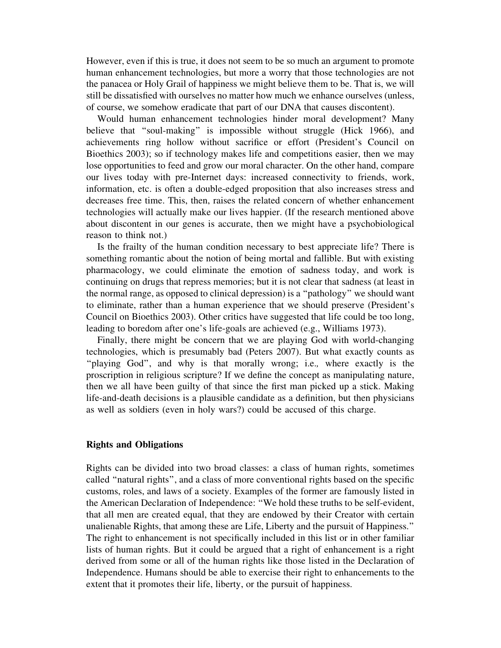However, even if this is true, it does not seem to be so much an argument to promote human enhancement technologies, but more a worry that those technologies are not the panacea or Holy Grail of happiness we might believe them to be. That is, we will still be dissatisfied with ourselves no matter how much we enhance ourselves (unless, of course, we somehow eradicate that part of our DNA that causes discontent).

Would human enhancement technologies hinder moral development? Many believe that ''soul-making'' is impossible without struggle (Hick 1966), and achievements ring hollow without sacrifice or effort (President's Council on Bioethics 2003); so if technology makes life and competitions easier, then we may lose opportunities to feed and grow our moral character. On the other hand, compare our lives today with pre-Internet days: increased connectivity to friends, work, information, etc. is often a double-edged proposition that also increases stress and decreases free time. This, then, raises the related concern of whether enhancement technologies will actually make our lives happier. (If the research mentioned above about discontent in our genes is accurate, then we might have a psychobiological reason to think not.)

Is the frailty of the human condition necessary to best appreciate life? There is something romantic about the notion of being mortal and fallible. But with existing pharmacology, we could eliminate the emotion of sadness today, and work is continuing on drugs that repress memories; but it is not clear that sadness (at least in the normal range, as opposed to clinical depression) is a ''pathology'' we should want to eliminate, rather than a human experience that we should preserve (President's Council on Bioethics 2003). Other critics have suggested that life could be too long, leading to boredom after one's life-goals are achieved (e.g., Williams 1973).

Finally, there might be concern that we are playing God with world-changing technologies, which is presumably bad (Peters 2007). But what exactly counts as "playing God", and why is that morally wrong; i.e., where exactly is the proscription in religious scripture? If we define the concept as manipulating nature, then we all have been guilty of that since the first man picked up a stick. Making life-and-death decisions is a plausible candidate as a definition, but then physicians as well as soldiers (even in holy wars?) could be accused of this charge.

# Rights and Obligations

Rights can be divided into two broad classes: a class of human rights, sometimes called ''natural rights'', and a class of more conventional rights based on the specific customs, roles, and laws of a society. Examples of the former are famously listed in the American Declaration of Independence: ''We hold these truths to be self-evident, that all men are created equal, that they are endowed by their Creator with certain unalienable Rights, that among these are Life, Liberty and the pursuit of Happiness.'' The right to enhancement is not specifically included in this list or in other familiar lists of human rights. But it could be argued that a right of enhancement is a right derived from some or all of the human rights like those listed in the Declaration of Independence. Humans should be able to exercise their right to enhancements to the extent that it promotes their life, liberty, or the pursuit of happiness.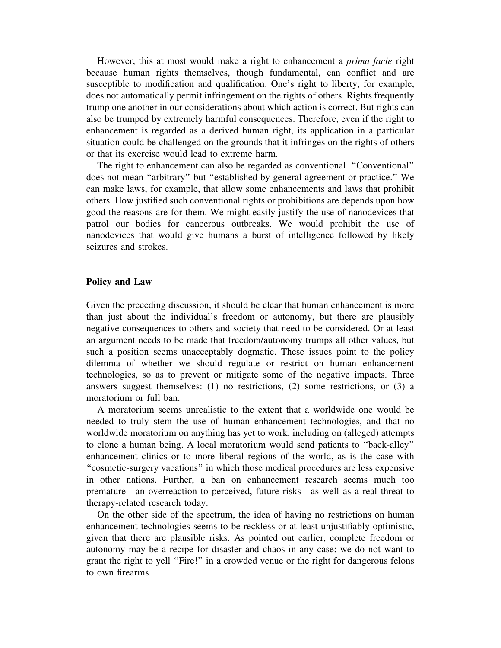However, this at most would make a right to enhancement a prima facie right because human rights themselves, though fundamental, can conflict and are susceptible to modification and qualification. One's right to liberty, for example, does not automatically permit infringement on the rights of others. Rights frequently trump one another in our considerations about which action is correct. But rights can also be trumped by extremely harmful consequences. Therefore, even if the right to enhancement is regarded as a derived human right, its application in a particular situation could be challenged on the grounds that it infringes on the rights of others or that its exercise would lead to extreme harm.

The right to enhancement can also be regarded as conventional. ''Conventional'' does not mean ''arbitrary'' but ''established by general agreement or practice.'' We can make laws, for example, that allow some enhancements and laws that prohibit others. How justified such conventional rights or prohibitions are depends upon how good the reasons are for them. We might easily justify the use of nanodevices that patrol our bodies for cancerous outbreaks. We would prohibit the use of nanodevices that would give humans a burst of intelligence followed by likely seizures and strokes.

### Policy and Law

Given the preceding discussion, it should be clear that human enhancement is more than just about the individual's freedom or autonomy, but there are plausibly negative consequences to others and society that need to be considered. Or at least an argument needs to be made that freedom/autonomy trumps all other values, but such a position seems unacceptably dogmatic. These issues point to the policy dilemma of whether we should regulate or restrict on human enhancement technologies, so as to prevent or mitigate some of the negative impacts. Three answers suggest themselves: (1) no restrictions, (2) some restrictions, or (3) a moratorium or full ban.

A moratorium seems unrealistic to the extent that a worldwide one would be needed to truly stem the use of human enhancement technologies, and that no worldwide moratorium on anything has yet to work, including on (alleged) attempts to clone a human being. A local moratorium would send patients to ''back-alley'' enhancement clinics or to more liberal regions of the world, as is the case with ''cosmetic-surgery vacations'' in which those medical procedures are less expensive in other nations. Further, a ban on enhancement research seems much too premature—an overreaction to perceived, future risks—as well as a real threat to therapy-related research today.

On the other side of the spectrum, the idea of having no restrictions on human enhancement technologies seems to be reckless or at least unjustifiably optimistic, given that there are plausible risks. As pointed out earlier, complete freedom or autonomy may be a recipe for disaster and chaos in any case; we do not want to grant the right to yell "Fire!" in a crowded venue or the right for dangerous felons to own firearms.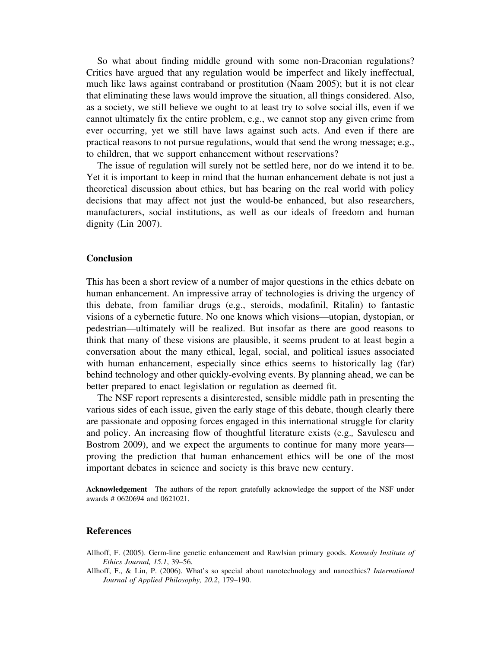So what about finding middle ground with some non-Draconian regulations? Critics have argued that any regulation would be imperfect and likely ineffectual, much like laws against contraband or prostitution (Naam 2005); but it is not clear that eliminating these laws would improve the situation, all things considered. Also, as a society, we still believe we ought to at least try to solve social ills, even if we cannot ultimately fix the entire problem, e.g., we cannot stop any given crime from ever occurring, yet we still have laws against such acts. And even if there are practical reasons to not pursue regulations, would that send the wrong message; e.g., to children, that we support enhancement without reservations?

The issue of regulation will surely not be settled here, nor do we intend it to be. Yet it is important to keep in mind that the human enhancement debate is not just a theoretical discussion about ethics, but has bearing on the real world with policy decisions that may affect not just the would-be enhanced, but also researchers, manufacturers, social institutions, as well as our ideals of freedom and human dignity (Lin 2007).

#### Conclusion

This has been a short review of a number of major questions in the ethics debate on human enhancement. An impressive array of technologies is driving the urgency of this debate, from familiar drugs (e.g., steroids, modafinil, Ritalin) to fantastic visions of a cybernetic future. No one knows which visions—utopian, dystopian, or pedestrian—ultimately will be realized. But insofar as there are good reasons to think that many of these visions are plausible, it seems prudent to at least begin a conversation about the many ethical, legal, social, and political issues associated with human enhancement, especially since ethics seems to historically lag (far) behind technology and other quickly-evolving events. By planning ahead, we can be better prepared to enact legislation or regulation as deemed fit.

The NSF report represents a disinterested, sensible middle path in presenting the various sides of each issue, given the early stage of this debate, though clearly there are passionate and opposing forces engaged in this international struggle for clarity and policy. An increasing flow of thoughtful literature exists (e.g., Savulescu and Bostrom 2009), and we expect the arguments to continue for many more years proving the prediction that human enhancement ethics will be one of the most important debates in science and society is this brave new century.

Acknowledgement The authors of the report gratefully acknowledge the support of the NSF under awards # 0620694 and 0621021.

#### References

- Allhoff, F. (2005). Germ-line genetic enhancement and Rawlsian primary goods. Kennedy Institute of Ethics Journal, 15.1, 39–56.
- Allhoff, F., & Lin, P. (2006). What's so special about nanotechnology and nanoethics? International Journal of Applied Philosophy, 20.2, 179–190.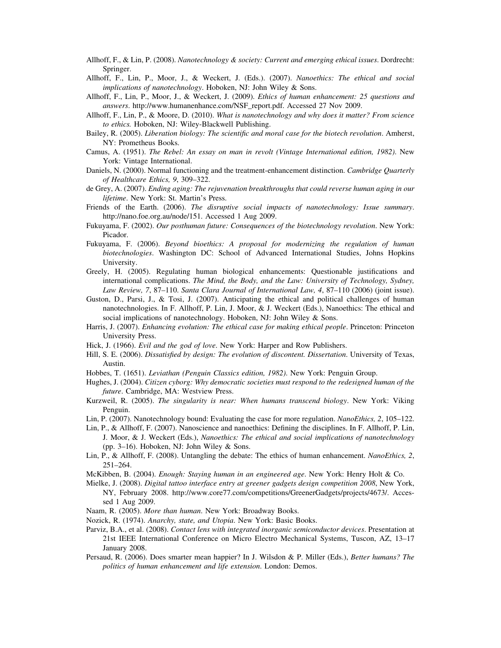- Allhoff, F., & Lin, P. (2008). Nanotechnology & society: Current and emerging ethical issues. Dordrecht: Springer.
- Allhoff, F., Lin, P., Moor, J., & Weckert, J. (Eds.). (2007). Nanoethics: The ethical and social implications of nanotechnology. Hoboken, NJ: John Wiley & Sons.
- Allhoff, F., Lin, P., Moor, J., & Weckert, J. (2009). Ethics of human enhancement: 25 questions and answers. http://www.humanenhance.com/NSF\_report.pdf. Accessed 27 Nov 2009.
- Allhoff, F., Lin, P., & Moore, D. (2010). What is nanotechnology and why does it matter? From science to ethics. Hoboken, NJ: Wiley-Blackwell Publishing.
- Bailey, R. (2005). Liberation biology: The scientific and moral case for the biotech revolution. Amherst, NY: Prometheus Books.
- Camus, A. (1951). The Rebel: An essay on man in revolt (Vintage International edition, 1982). New York: Vintage International.
- Daniels, N. (2000). Normal functioning and the treatment-enhancement distinction. Cambridge Quarterly of Healthcare Ethics, 9, 309–322.
- de Grey, A. (2007). Ending aging: The rejuvenation breakthroughs that could reverse human aging in our lifetime. New York: St. Martin's Press.
- Friends of the Earth. (2006). The disruptive social impacts of nanotechnology: Issue summary. http://nano.foe.org.au/node/151. Accessed 1 Aug 2009.
- Fukuyama, F. (2002). Our posthuman future: Consequences of the biotechnology revolution. New York: Picador.
- Fukuyama, F. (2006). Beyond bioethics: A proposal for modernizing the regulation of human biotechnologies. Washington DC: School of Advanced International Studies, Johns Hopkins University.
- Greely, H. (2005). Regulating human biological enhancements: Questionable justifications and international complications. The Mind, the Body, and the Law: University of Technology, Sydney, Law Review, 7, 87–110. Santa Clara Journal of International Law, 4, 87–110 (2006) (joint issue).
- Guston, D., Parsi, J., & Tosi, J. (2007). Anticipating the ethical and political challenges of human nanotechnologies. In F. Allhoff, P. Lin, J. Moor, & J. Weckert (Eds.), Nanoethics: The ethical and social implications of nanotechnology. Hoboken, NJ: John Wiley & Sons.
- Harris, J. (2007). Enhancing evolution: The ethical case for making ethical people. Princeton: Princeton University Press.
- Hick, J. (1966). *Evil and the god of love*. New York: Harper and Row Publishers.
- Hill, S. E. (2006). Dissatisfied by design: The evolution of discontent. Dissertation. University of Texas, Austin.
- Hobbes, T. (1651). Leviathan (Penguin Classics edition, 1982). New York: Penguin Group.
- Hughes, J. (2004). Citizen cyborg: Why democratic societies must respond to the redesigned human of the future. Cambridge, MA: Westview Press.
- Kurzweil, R. (2005). The singularity is near: When humans transcend biology. New York: Viking Penguin.
- Lin, P. (2007). Nanotechnology bound: Evaluating the case for more regulation. NanoEthics, 2, 105–122.
- Lin, P., & Allhoff, F. (2007). Nanoscience and nanoethics: Defining the disciplines. In F. Allhoff, P. Lin, J. Moor, & J. Weckert (Eds.), Nanoethics: The ethical and social implications of nanotechnology (pp. 3–16). Hoboken, NJ: John Wiley & Sons.
- Lin, P., & Allhoff, F. (2008). Untangling the debate: The ethics of human enhancement. NanoEthics, 2, 251–264.
- McKibben, B. (2004). Enough: Staying human in an engineered age. New York: Henry Holt & Co.
- Mielke, J. (2008). Digital tattoo interface entry at greener gadgets design competition 2008, New York, NY, February 2008. http://www.core77.com/competitions/GreenerGadgets/projects/4673/. Accessed 1 Aug 2009.
- Naam, R. (2005). More than human. New York: Broadway Books.
- Nozick, R. (1974). Anarchy, state, and Utopia. New York: Basic Books.
- Parviz, B.A., et al. (2008). Contact lens with integrated inorganic semiconductor devices. Presentation at 21st IEEE International Conference on Micro Electro Mechanical Systems, Tuscon, AZ, 13–17 January 2008.
- Persaud, R. (2006). Does smarter mean happier? In J. Wilsdon & P. Miller (Eds.), Better humans? The politics of human enhancement and life extension. London: Demos.